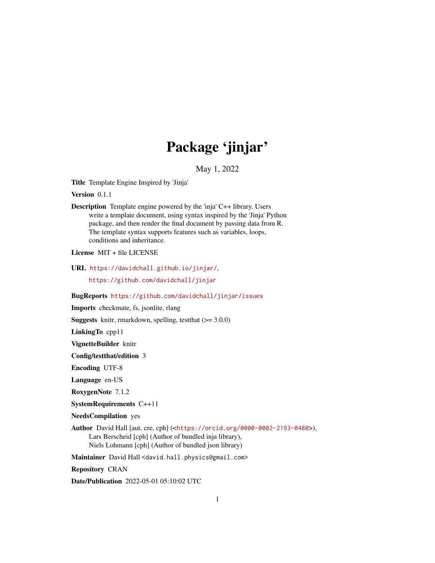# Package 'jinjar'

May 1, 2022

<span id="page-0-0"></span>Title Template Engine Inspired by 'Jinja'

Version 0.1.1

Description Template engine powered by the 'inja' C++ library. Users write a template document, using syntax inspired by the 'Jinja' Python package, and then render the final document by passing data from R. The template syntax supports features such as variables, loops, conditions and inheritance.

License MIT + file LICENSE

URL <https://davidchall.github.io/jinjar/>,

<https://github.com/davidchall/jinjar>

BugReports <https://github.com/davidchall/jinjar/issues>

Imports checkmate, fs, jsonlite, rlang

**Suggests** knitr, rmarkdown, spelling, test that  $(>= 3.0.0)$ 

LinkingTo cpp11

VignetteBuilder knitr

Config/testthat/edition 3

Encoding UTF-8

Language en-US

RoxygenNote 7.1.2

SystemRequirements C++11

NeedsCompilation yes

Author David Hall [aut, cre, cph] (<<https://orcid.org/0000-0002-2193-0480>>), Lars Berscheid [cph] (Author of bundled inja library), Niels Lohmann [cph] (Author of bundled json library)

Maintainer David Hall <david.hall.physics@gmail.com>

Repository CRAN

Date/Publication 2022-05-01 05:10:02 UTC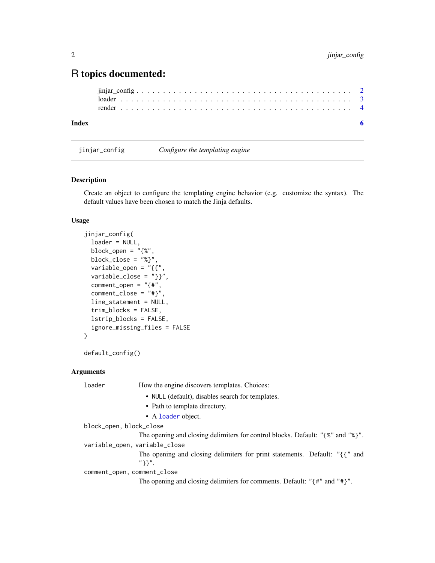## <span id="page-1-0"></span>R topics documented:

```
jinjar_config . . . . . . . . . . . . . . . . . . . . . . . . . . . . . . . . . . . . . . . . . 2
loader . . . . . . . . . . . . . . . . . . . . . . . . . . . . . . . . . . . . . . . . . . . . 3
render . . . . . . . . . . . . . . . . . . . . . . . . . . . . . . . . . . . . . . . . . . . . 4
```
#### **Index** [6](#page-5-0) **6**

<span id="page-1-1"></span>jinjar\_config *Configure the templating engine*

#### Description

Create an object to configure the templating engine behavior (e.g. customize the syntax). The default values have been chosen to match the Jinja defaults.

#### Usage

```
jinjar_config(
  loader = NULL,
  block_open = "{%",
 block_close = "%}",
  variable_open = "{{",
  variable\_close = "}},
  comment\_open = "{#"},comment\_close = "#}'line_statement = NULL,
  trim_blocks = FALSE,
  lstrip_blocks = FALSE,
  ignore_missing_files = FALSE
)
```

```
default_config()
```
#### Arguments

loader How the engine discovers templates. Choices: • NULL (default), disables search for templates. • Path to template directory. • A [loader](#page-2-1) object. block\_open, block\_close The opening and closing delimiters for control blocks. Default: "{%" and "%}". variable\_open, variable\_close The opening and closing delimiters for print statements. Default: "{{" and "}}". comment\_open, comment\_close The opening and closing delimiters for comments. Default: "{#" and "#}".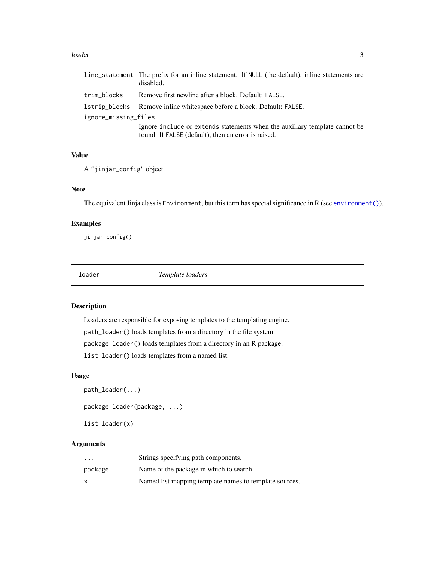#### <span id="page-2-0"></span>loader 3

|                      | line_statement The prefix for an inline statement. If NULL (the default), inline statements are<br>disabled. |
|----------------------|--------------------------------------------------------------------------------------------------------------|
| trim_blocks          | Remove first newline after a block. Default: FALSE.                                                          |
|                      | 1strip_blocks Remove inline white space before a block. Default: FALSE.                                      |
| ignore_missing_files |                                                                                                              |
|                      | Ignore include or extends statements when the auxiliary template cannot be                                   |
|                      | found. If FALSE (default), then an error is raised.                                                          |

#### Value

A "jinjar\_config" object.

#### Note

The equivalent Jinja class is Environment, but this term has special significance in R (see [environment\(\)](#page-0-0)).

#### Examples

jinjar\_config()

<span id="page-2-1"></span>

| c | r. |  |
|---|----|--|

**Template loaders** 

#### Description

Loaders are responsible for exposing templates to the templating engine. path\_loader() loads templates from a directory in the file system. package\_loader() loads templates from a directory in an R package. list\_loader() loads templates from a named list.

#### Usage

```
path_loader(...)
package_loader(package, ...)
```

```
list_loader(x)
```
#### Arguments

| $\cdots$ | Strings specifying path components.                    |
|----------|--------------------------------------------------------|
| package  | Name of the package in which to search.                |
| x        | Named list mapping template names to template sources. |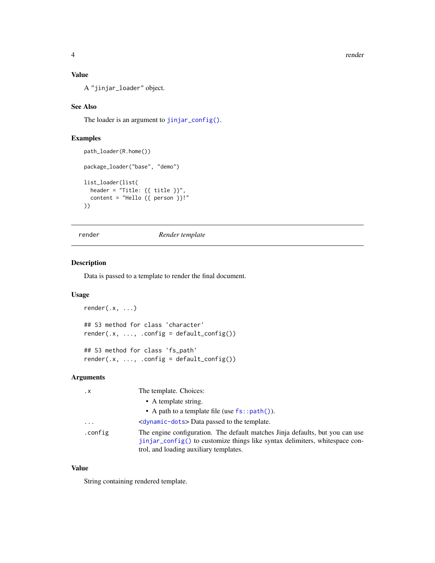<span id="page-3-0"></span>4 render

#### Value

A "jinjar\_loader" object.

#### See Also

The loader is an argument to [jinjar\\_config\(\)](#page-1-1).

#### Examples

```
path_loader(R.home())
package_loader("base", "demo")
list_loader(list(
  header = "Title: {{ title }}",
  content = "Hello {{ person }}!"
))
```
#### render *Render template*

#### Description

Data is passed to a template to render the final document.

#### Usage

```
render(.x, ...)
## S3 method for class 'character'
render(x, ..., .config = default\_config())## S3 method for class 'fs_path'
```
 $render(x, ..., .config = default\_config())$ 

#### Arguments

| $\cdot$ X | The template. Choices:                                                                                                                                                                                 |
|-----------|--------------------------------------------------------------------------------------------------------------------------------------------------------------------------------------------------------|
|           | • A template string.                                                                                                                                                                                   |
|           | • A path to a template file (use $fs::path()$ ).                                                                                                                                                       |
| $\cdots$  | <dynamic-dots> Data passed to the template.</dynamic-dots>                                                                                                                                             |
| .config   | The engine configuration. The default matches Jinja defaults, but you can use<br>jinjar_config() to customize things like syntax delimiters, whitespace con-<br>trol, and loading auxiliary templates. |

#### Value

String containing rendered template.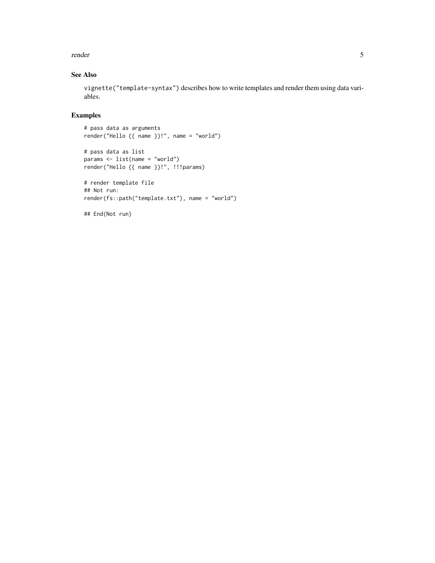#### render the state of the state of the state of the state of the state of the state of the state of the state of the state of the state of the state of the state of the state of the state of the state of the state of the sta

#### See Also

vignette("template-syntax") describes how to write templates and render them using data variables.

## Examples

# pass data as arguments render("Hello {{ name }}!", name = "world")

# pass data as list params <- list(name = "world") render("Hello {{ name }}!", !!!params)

```
# render template file
## Not run:
render(fs::path("template.txt"), name = "world")
```
## End(Not run)